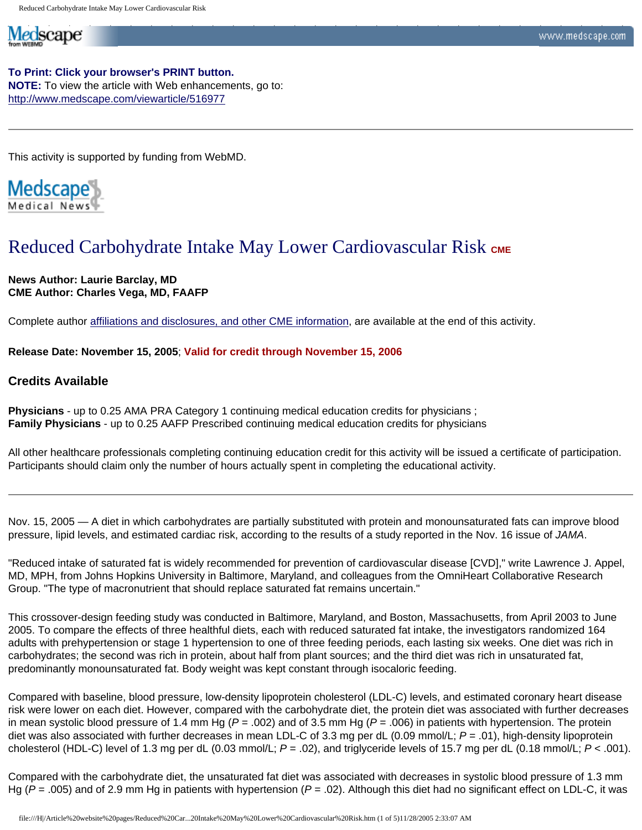**To Print: Click your browser's PRINT button. NOTE:** To view the article with Web enhancements, go to: <http://www.medscape.com/viewarticle/516977>

This activity is supported by funding from WebMD.

Medscape

Medscape

# Reduced Carbohydrate Intake May Lower Cardiovascular Risk CME

### **News Author: Laurie Barclay, MD CME Author: Charles Vega, MD, FAAFP**

Complete author [affiliations and disclosures, and other CME information,](http://www.medscape.com/viewarticle/516977_print#authors) are available at the end of this activity.

**Release Date: November 15, 2005**; **Valid for credit through November 15, 2006** 

### **Credits Available**

**Physicians** - up to 0.25 AMA PRA Category 1 continuing medical education credits for physicians ; **Family Physicians** - up to 0.25 AAFP Prescribed continuing medical education credits for physicians

All other healthcare professionals completing continuing education credit for this activity will be issued a certificate of participation. Participants should claim only the number of hours actually spent in completing the educational activity.

Nov. 15, 2005 — A diet in which carbohydrates are partially substituted with protein and monounsaturated fats can improve blood pressure, lipid levels, and estimated cardiac risk, according to the results of a study reported in the Nov. 16 issue of *JAMA*.

"Reduced intake of saturated fat is widely recommended for prevention of cardiovascular disease [CVD]," write Lawrence J. Appel, MD, MPH, from Johns Hopkins University in Baltimore, Maryland, and colleagues from the OmniHeart Collaborative Research Group. "The type of macronutrient that should replace saturated fat remains uncertain."

This crossover-design feeding study was conducted in Baltimore, Maryland, and Boston, Massachusetts, from April 2003 to June 2005. To compare the effects of three healthful diets, each with reduced saturated fat intake, the investigators randomized 164 adults with prehypertension or stage 1 hypertension to one of three feeding periods, each lasting six weeks. One diet was rich in carbohydrates; the second was rich in protein, about half from plant sources; and the third diet was rich in unsaturated fat, predominantly monounsaturated fat. Body weight was kept constant through isocaloric feeding.

Compared with baseline, blood pressure, low-density lipoprotein cholesterol (LDL-C) levels, and estimated coronary heart disease risk were lower on each diet. However, compared with the carbohydrate diet, the protein diet was associated with further decreases in mean systolic blood pressure of 1.4 mm Hg ( $P = .002$ ) and of 3.5 mm Hg ( $P = .006$ ) in patients with hypertension. The protein diet was also associated with further decreases in mean LDL-C of 3.3 mg per dL (0.09 mmol/L; *P* = .01), high-density lipoprotein cholesterol (HDL-C) level of 1.3 mg per dL (0.03 mmol/L; *P* = .02), and triglyceride levels of 15.7 mg per dL (0.18 mmol/L; *P* < .001).

Compared with the carbohydrate diet, the unsaturated fat diet was associated with decreases in systolic blood pressure of 1.3 mm Hg ( $P = .005$ ) and of 2.9 mm Hg in patients with hypertension ( $P = .02$ ). Although this diet had no significant effect on LDL-C, it was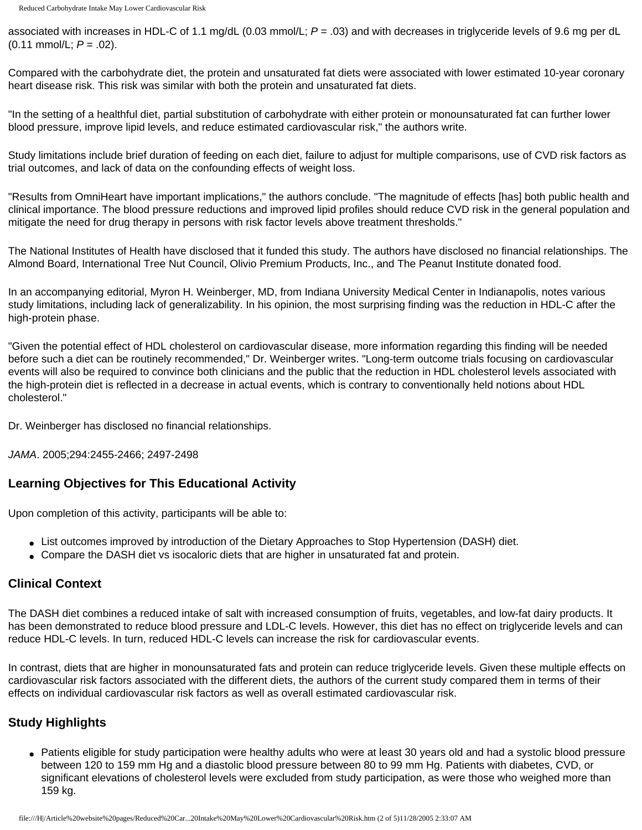associated with increases in HDL-C of 1.1 mg/dL (0.03 mmol/L; *P* = .03) and with decreases in triglyceride levels of 9.6 mg per dL (0.11 mmol/L; *P* = .02).

Compared with the carbohydrate diet, the protein and unsaturated fat diets were associated with lower estimated 10-year coronary heart disease risk. This risk was similar with both the protein and unsaturated fat diets.

"In the setting of a healthful diet, partial substitution of carbohydrate with either protein or monounsaturated fat can further lower blood pressure, improve lipid levels, and reduce estimated cardiovascular risk," the authors write.

Study limitations include brief duration of feeding on each diet, failure to adjust for multiple comparisons, use of CVD risk factors as trial outcomes, and lack of data on the confounding effects of weight loss.

"Results from OmniHeart have important implications," the authors conclude. "The magnitude of effects [has] both public health and clinical importance. The blood pressure reductions and improved lipid profiles should reduce CVD risk in the general population and mitigate the need for drug therapy in persons with risk factor levels above treatment thresholds."

The National Institutes of Health have disclosed that it funded this study. The authors have disclosed no financial relationships. The Almond Board, International Tree Nut Council, Olivio Premium Products, Inc., and The Peanut Institute donated food.

In an accompanying editorial, Myron H. Weinberger, MD, from Indiana University Medical Center in Indianapolis, notes various study limitations, including lack of generalizability. In his opinion, the most surprising finding was the reduction in HDL-C after the high-protein phase.

"Given the potential effect of HDL cholesterol on cardiovascular disease, more information regarding this finding will be needed before such a diet can be routinely recommended," Dr. Weinberger writes. "Long-term outcome trials focusing on cardiovascular events will also be required to convince both clinicians and the public that the reduction in HDL cholesterol levels associated with the high-protein diet is reflected in a decrease in actual events, which is contrary to conventionally held notions about HDL cholesterol."

Dr. Weinberger has disclosed no financial relationships.

*JAMA*. 2005;294:2455-2466; 2497-2498

# **Learning Objectives for This Educational Activity**

Upon completion of this activity, participants will be able to:

- List outcomes improved by introduction of the Dietary Approaches to Stop Hypertension (DASH) diet.
- Compare the DASH diet vs isocaloric diets that are higher in unsaturated fat and protein.

### **Clinical Context**

The DASH diet combines a reduced intake of salt with increased consumption of fruits, vegetables, and low-fat dairy products. It has been demonstrated to reduce blood pressure and LDL-C levels. However, this diet has no effect on triglyceride levels and can reduce HDL-C levels. In turn, reduced HDL-C levels can increase the risk for cardiovascular events.

In contrast, diets that are higher in monounsaturated fats and protein can reduce triglyceride levels. Given these multiple effects on cardiovascular risk factors associated with the different diets, the authors of the current study compared them in terms of their effects on individual cardiovascular risk factors as well as overall estimated cardiovascular risk.

# **Study Highlights**

• Patients eligible for study participation were healthy adults who were at least 30 years old and had a systolic blood pressure between 120 to 159 mm Hg and a diastolic blood pressure between 80 to 99 mm Hg. Patients with diabetes, CVD, or significant elevations of cholesterol levels were excluded from study participation, as were those who weighed more than 159 kg.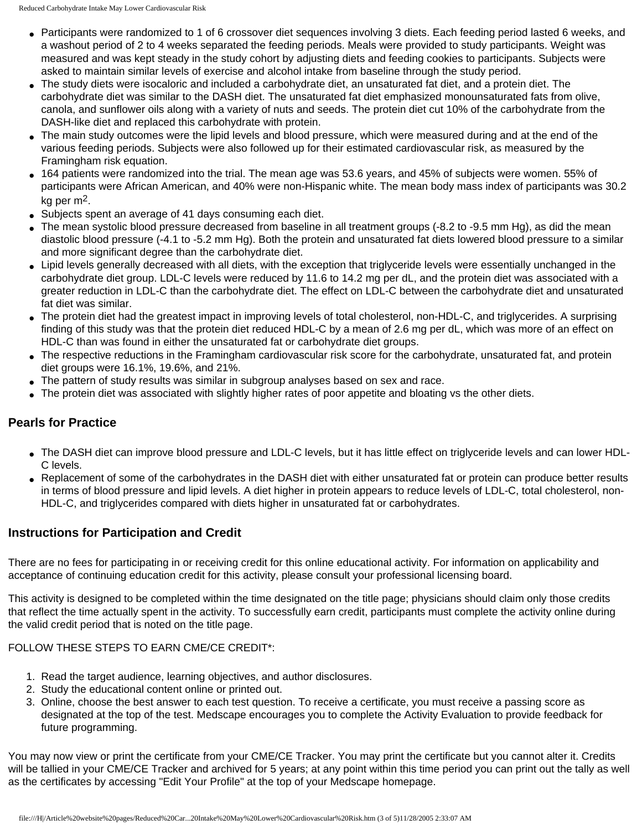- Participants were randomized to 1 of 6 crossover diet sequences involving 3 diets. Each feeding period lasted 6 weeks, and a washout period of 2 to 4 weeks separated the feeding periods. Meals were provided to study participants. Weight was measured and was kept steady in the study cohort by adjusting diets and feeding cookies to participants. Subjects were asked to maintain similar levels of exercise and alcohol intake from baseline through the study period.
- The study diets were isocaloric and included a carbohydrate diet, an unsaturated fat diet, and a protein diet. The carbohydrate diet was similar to the DASH diet. The unsaturated fat diet emphasized monounsaturated fats from olive, canola, and sunflower oils along with a variety of nuts and seeds. The protein diet cut 10% of the carbohydrate from the DASH-like diet and replaced this carbohydrate with protein.
- The main study outcomes were the lipid levels and blood pressure, which were measured during and at the end of the various feeding periods. Subjects were also followed up for their estimated cardiovascular risk, as measured by the Framingham risk equation.
- 164 patients were randomized into the trial. The mean age was 53.6 years, and 45% of subjects were women. 55% of participants were African American, and 40% were non-Hispanic white. The mean body mass index of participants was 30.2 kg per m2.
- Subjects spent an average of 41 days consuming each diet.
- $\bullet$  The mean systolic blood pressure decreased from baseline in all treatment groups (-8.2 to -9.5 mm Hg), as did the mean diastolic blood pressure (-4.1 to -5.2 mm Hg). Both the protein and unsaturated fat diets lowered blood pressure to a similar and more significant degree than the carbohydrate diet.
- Lipid levels generally decreased with all diets, with the exception that triglyceride levels were essentially unchanged in the carbohydrate diet group. LDL-C levels were reduced by 11.6 to 14.2 mg per dL, and the protein diet was associated with a greater reduction in LDL-C than the carbohydrate diet. The effect on LDL-C between the carbohydrate diet and unsaturated fat diet was similar.
- The protein diet had the greatest impact in improving levels of total cholesterol, non-HDL-C, and triglycerides. A surprising finding of this study was that the protein diet reduced HDL-C by a mean of 2.6 mg per dL, which was more of an effect on HDL-C than was found in either the unsaturated fat or carbohydrate diet groups.
- The respective reductions in the Framingham cardiovascular risk score for the carbohydrate, unsaturated fat, and protein diet groups were 16.1%, 19.6%, and 21%.
- The pattern of study results was similar in subgroup analyses based on sex and race.
- The protein diet was associated with slightly higher rates of poor appetite and bloating vs the other diets.

# **Pearls for Practice**

- The DASH diet can improve blood pressure and LDL-C levels, but it has little effect on triglyceride levels and can lower HDL-C levels.
- Replacement of some of the carbohydrates in the DASH diet with either unsaturated fat or protein can produce better results in terms of blood pressure and lipid levels. A diet higher in protein appears to reduce levels of LDL-C, total cholesterol, non-HDL-C, and triglycerides compared with diets higher in unsaturated fat or carbohydrates.

# **Instructions for Participation and Credit**

There are no fees for participating in or receiving credit for this online educational activity. For information on applicability and acceptance of continuing education credit for this activity, please consult your professional licensing board.

This activity is designed to be completed within the time designated on the title page; physicians should claim only those credits that reflect the time actually spent in the activity. To successfully earn credit, participants must complete the activity online during the valid credit period that is noted on the title page.

### FOLLOW THESE STEPS TO EARN CME/CE CREDIT\*:

- 1. Read the target audience, learning objectives, and author disclosures.
- 2. Study the educational content online or printed out.
- 3. Online, choose the best answer to each test question. To receive a certificate, you must receive a passing score as designated at the top of the test. Medscape encourages you to complete the Activity Evaluation to provide feedback for future programming.

You may now view or print the certificate from your CME/CE Tracker. You may print the certificate but you cannot alter it. Credits will be tallied in your CME/CE Tracker and archived for 5 years; at any point within this time period you can print out the tally as well as the certificates by accessing "Edit Your Profile" at the top of your Medscape homepage.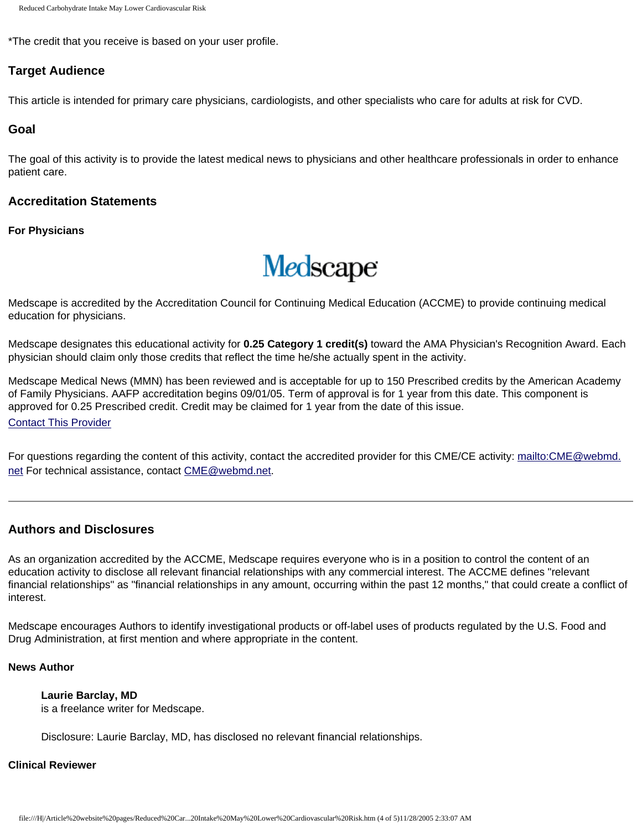```
Reduced Carbohydrate Intake May Lower Cardiovascular Risk
```
\*The credit that you receive is based on your user profile.

### **Target Audience**

This article is intended for primary care physicians, cardiologists, and other specialists who care for adults at risk for CVD.

### **Goal**

The goal of this activity is to provide the latest medical news to physicians and other healthcare professionals in order to enhance patient care.

### **Accreditation Statements**

**For Physicians**



Medscape is accredited by the Accreditation Council for Continuing Medical Education (ACCME) to provide continuing medical education for physicians.

Medscape designates this educational activity for **0.25 Category 1 credit(s)** toward the AMA Physician's Recognition Award. Each physician should claim only those credits that reflect the time he/she actually spent in the activity.

Medscape Medical News (MMN) has been reviewed and is acceptable for up to 150 Prescribed credits by the American Academy of Family Physicians. AAFP accreditation begins 09/01/05. Term of approval is for 1 year from this date. This component is approved for 0.25 Prescribed credit. Credit may be claimed for 1 year from the date of this issue.

[Contact This Provider](mailto:tmarkum@aafp.org)

For questions regarding the content of this activity, contact the accredited provider for this CME/CE activity: [mailto:CME@webmd.](mailto:CME@webmd.net) [net](mailto:CME@webmd.net) For technical assistance, contact [CME@webmd.net.](mailto:CME@webmd.net)

### **Authors and Disclosures**

As an organization accredited by the ACCME, Medscape requires everyone who is in a position to control the content of an education activity to disclose all relevant financial relationships with any commercial interest. The ACCME defines "relevant financial relationships" as "financial relationships in any amount, occurring within the past 12 months," that could create a conflict of interest.

Medscape encourages Authors to identify investigational products or off-label uses of products regulated by the U.S. Food and Drug Administration, at first mention and where appropriate in the content.

### **News Author**

### **Laurie Barclay, MD**

is a freelance writer for Medscape.

Disclosure: Laurie Barclay, MD, has disclosed no relevant financial relationships.

### **Clinical Reviewer**